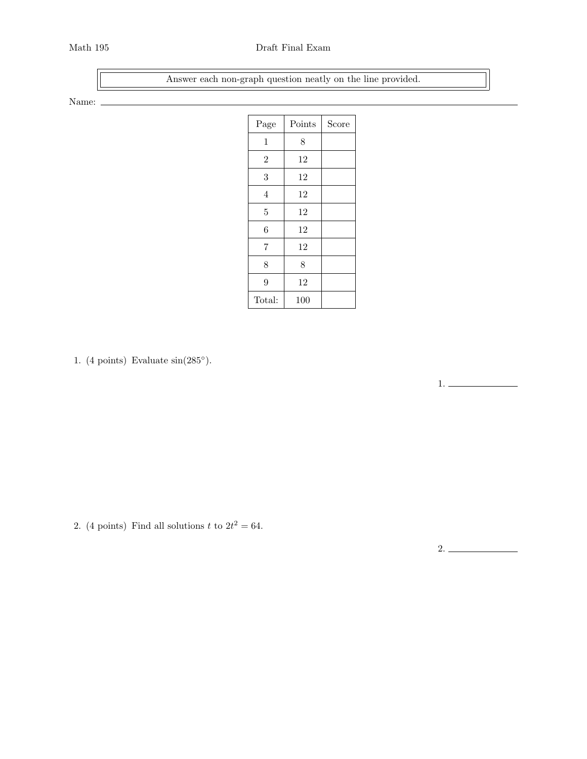## Math 195 Draft Final Exam

Answer each non-graph question neatly on the line provided.

Name:  $\_$ 

| Page           | Points | Score |
|----------------|--------|-------|
| $\mathbf{1}$   | 8      |       |
| $\overline{2}$ | 12     |       |
| 3              | 12     |       |
| $\overline{4}$ | 12     |       |
| $\overline{5}$ | 12     |       |
| 6              | 12     |       |
| $\overline{7}$ | 12     |       |
| 8              | 8      |       |
| 9              | 12     |       |
| Total:         | 100    |       |

1. (4 points) Evaluate  $sin(285^\circ)$ .

2. (4 points) Find all solutions t to  $2t^2 = 64$ .

2.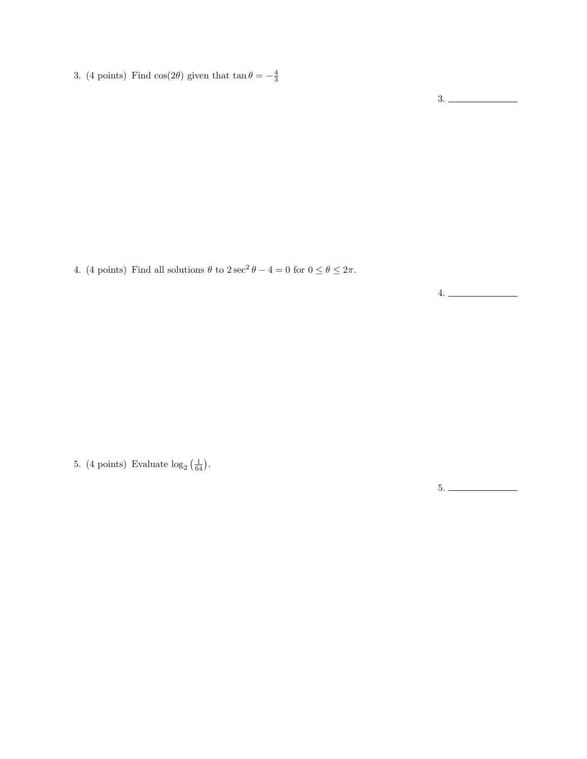3. (4 points) Find cos(2 $\theta$ ) given that tan  $\theta = -\frac{4}{3}$ 

3.

4. (4 points) Find all solutions  $\theta$  to  $2 \sec^2 \theta - 4 = 0$  for  $0 \le \theta \le 2\pi$ .

4.

5. (4 points) Evaluate  $\log_2\left(\frac{1}{64}\right)$ .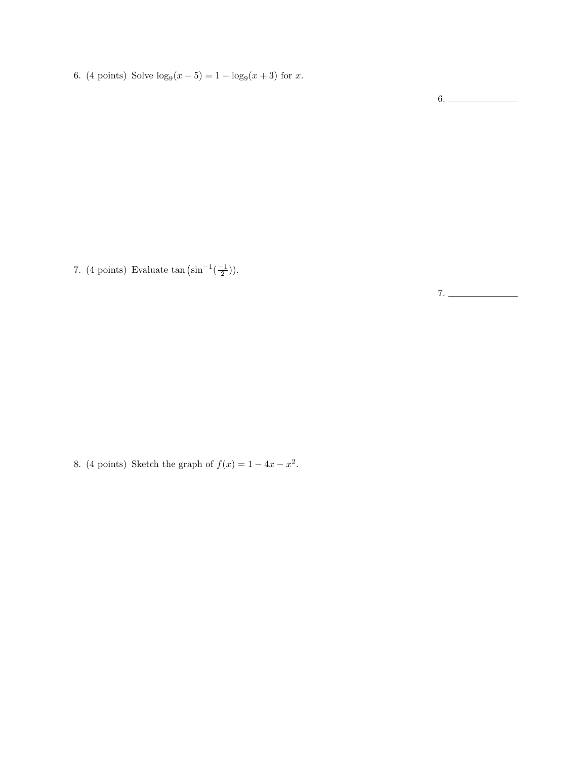6. (4 points) Solve  $\log_9(x-5) = 1 - \log_9(x+3)$  for x.

6.

7. (4 points) Evaluate  $\tan (\sin^{-1}(\frac{-1}{2}))$ .

7.

8. (4 points) Sketch the graph of  $f(x) = 1 - 4x - x^2$ .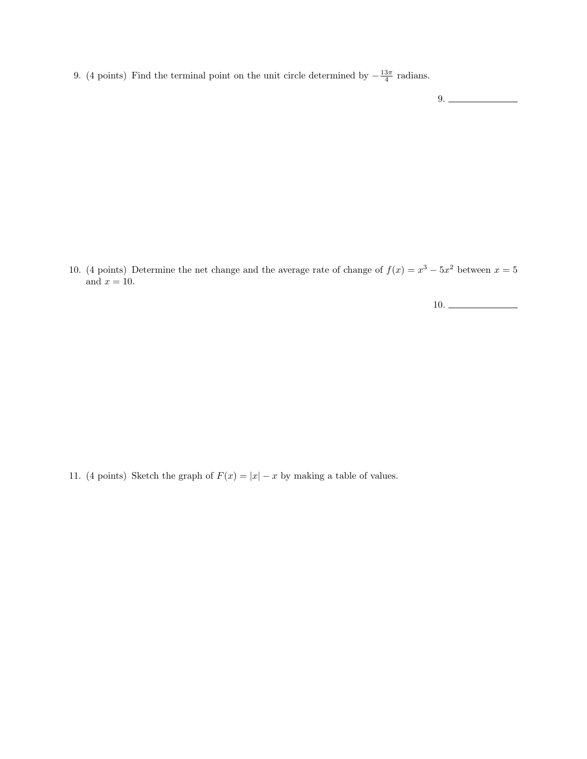9. (4 points) Find the terminal point on the unit circle determined by  $-\frac{13\pi}{4}$  radians.

9.

10. (4 points) Determine the net change and the average rate of change of  $f(x) = x^3 - 5x^2$  between  $x = 5$ and  $x = 10$ .

10.

11. (4 points) Sketch the graph of  $F(x) = |x| - x$  by making a table of values.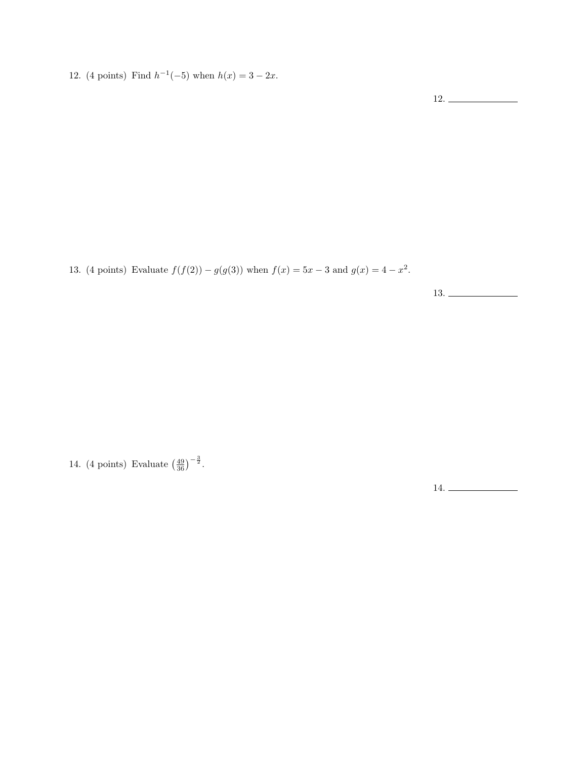12. (4 points) Find  $h^{-1}(-5)$  when  $h(x) = 3 - 2x$ .

12.

13. (4 points) Evaluate  $f(f(2)) - g(g(3))$  when  $f(x) = 5x - 3$  and  $g(x) = 4 - x^2$ .

13.

14. (4 points) Evaluate  $(\frac{49}{36})^{-\frac{3}{2}}$ .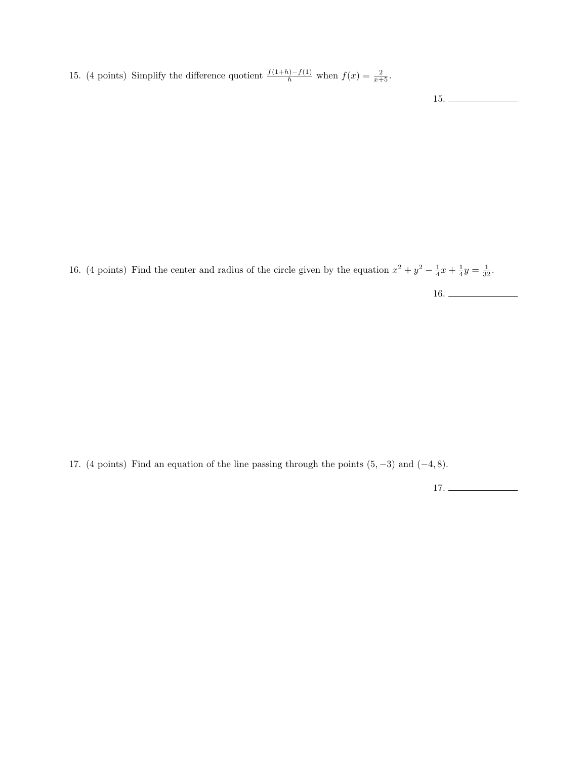15. (4 points) Simplify the difference quotient  $\frac{f(1+h)-f(1)}{h}$  when  $f(x) = \frac{2}{x+5}$ .

15.

16. (4 points) Find the center and radius of the circle given by the equation  $x^2 + y^2 - \frac{1}{4}x + \frac{1}{4}y = \frac{1}{32}$ .

16.

17. (4 points) Find an equation of the line passing through the points  $(5, -3)$  and  $(-4, 8)$ .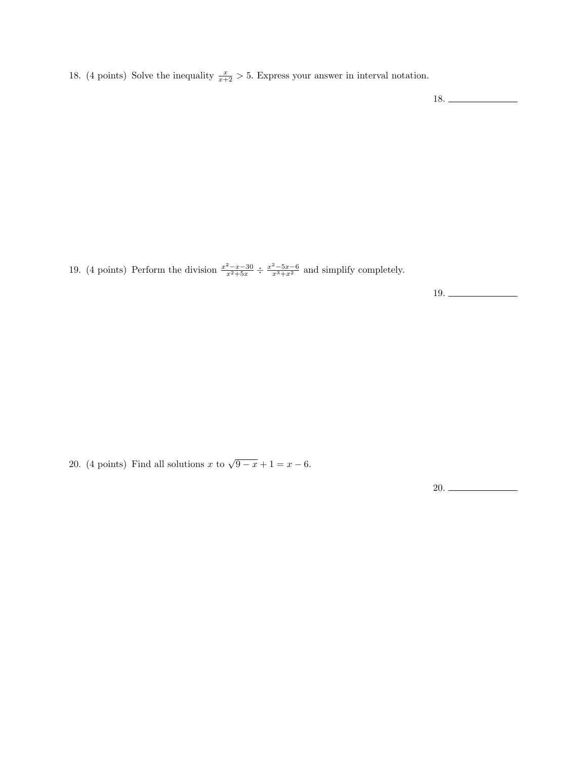18. (4 points) Solve the inequality  $\frac{x}{x+2} > 5$ . Express your answer in interval notation.

18.

19. (4 points) Perform the division  $\frac{x^2-x-30}{x^2+5x} \div \frac{x^2-5x-6}{x^3+x^2}$  and simplify completely.

19.

20. (4 points) Find all solutions x to  $\sqrt{9-x}+1=x-6$ .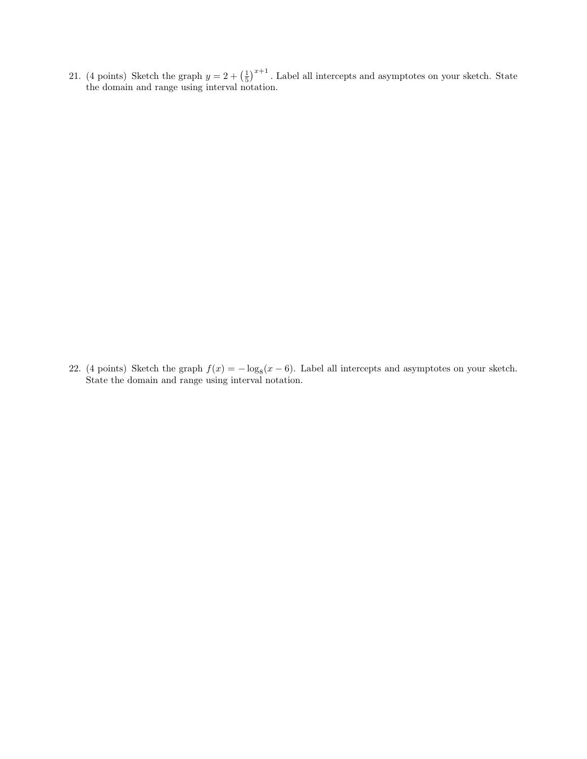21. (4 points) Sketch the graph  $y = 2 + \left(\frac{1}{5}\right)^{x+1}$ . Label all intercepts and asymptotes on your sketch. State the domain and range using interval notation.

22. (4 points) Sketch the graph  $f(x) = -\log_8(x-6)$ . Label all intercepts and asymptotes on your sketch. State the domain and range using interval notation.